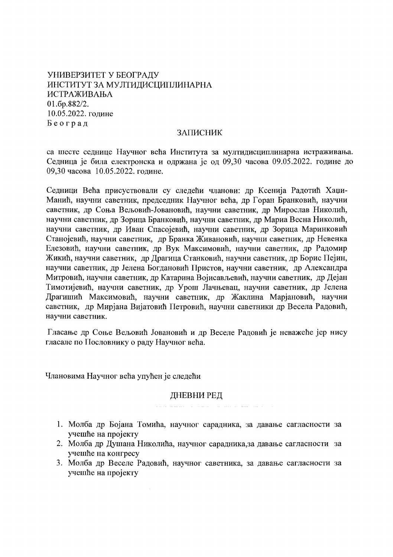УНИВЕРЗИТЕТ У БЕОГРАДУ ИНСТИТУТ ЗА МУЛТИДИСЦИПЛИНАРНА ИСТРАЖИВАЊА 01.6p.882/2. 10.05.2022. године Београд

### ЗАПИСНИК

са шесте седнице Научног већа Института за мултидисциплинарна истраживања. Седница је била електронска и одржана је од 09,30 часова 09.05.2022. године до 09,30 часова 10.05.2022. године.

Седници Већа присуствовали су следећи чланови: др Ксенија Радотић Хаџи-Манић, научни саветник, председник Научног већа, др Горан Бранковић, научни саветник, др Соња Вељовић-Јовановић, научни саветник, др Мирослав Николић, научни саветник, др Зорица Бранковић, научни саветник, др Мариа Весна Николић, научни саветник, др Иван Спасојевић, научни саветник, др Зорица Маринковић Станојевић, научни саветник, др Бранка Живановић, научни саветник, др Невенка Елезовић, научни саветник, др Вук Максимовић, научни саветник, др Радомир Жикић, научни саветник, др Драгица Станковић, научни саветник, др Борис Пејин, научни саветник, др Јелена Богдановић Пристов, научни саветник, др Александра Митровић, научни саветник, др Катарина Војисављевић, научни саветник, др Дејан Тимотијевић, научни саветник, др Урош Лачњевац, научни саветник, др Јелена Драгишић Максимовић, научни саветник, др Жаклина Марјановић, научни саветник, др Мирјана Вијатовић Петровић, научни саветники др Весела Радовић, научни саветник.

Гласање др Соње Вељовић Јовановић и др Веселе Радовић је неважеће јер нису гласале по Пословнику о раду Научног већа.

Члановима Научног већа упућен је следећи

### ДНЕВНИ РЕД

- 1. Молба др Бојана Томића, научног сарадника, за давање сагласности за учешће на пројекту
- 2. Молба др Душана Николића, научног сарадника, за давање сагласности за учешће на конгресу
- 3. Молба др Веселе Радовић, научног саветника, за давање сагласности за учешће на пројекту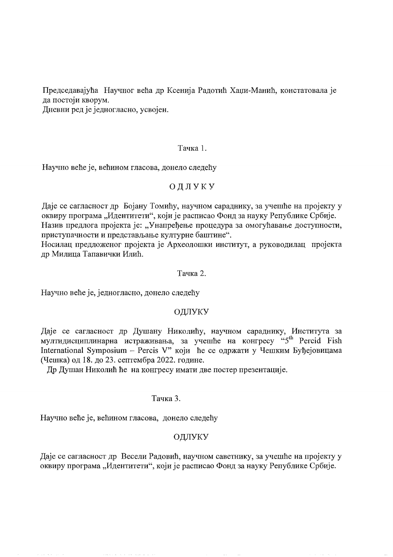Председавајућа Научног већа др Ксенија Радотић Хаџи-Манић, констатовала је да постоји кворум.

Дневни ред је једногласно, усвојен.

### Тачка 1.

Научно веће је, већином гласова, донело следећу

# ОДЛУКУ

Даје се сагласност др Бојану Томићу, научном сараднику, за учешће на пројекту у оквиру програма "Идентитети", који је расписао Фонд за науку Републике Србије. Назив предлога пројекта је: "Унапређење процедура за омогућавање доступности, приступачности и представљање културне баштине".

Носилац предложеног пројекта је Археолошки институт, а руководилац пројекта др Милица Тапавички Илић.

## Тачка 2.

Научно веће је, једногласно, донело следећу

## ОДЛУКУ

Даје се сагласност др Душану Николићу, научном сараднику, Института за мултидисциплинарна истраживања, за учешће на конгресу "5<sup>th</sup> Percid Fish International Symposium - Percis V" који ће се одржати у Чешким Буђејовицама (Чешка) од 18. до 23. септембра 2022. године.

Др Душан Николић ће на конгресу имати две постер презентације.

### Тачка 3.

Научно веће је, већином гласова, донело следећу

## ОДЛУКУ

Даје се сагласност др Весели Радовић, научном саветнику, за учешће на пројекту у оквиру програма "Идентитети", који је расписао Фонд за науку Републике Србије.